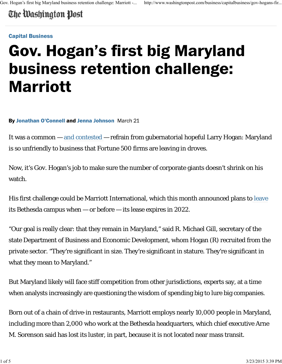## The Washington Post

## **Capital Business**

## **Gov. Hogan's first big Maryland** business retention challenge: **Marriott**

By Jonathan O'Connell and Jenna Johnson March 21

It was a common — and contested — refrain from gubernatorial hopeful Larry Hogan: Maryland is so unfriendly to business that Fortune 500 firms are leaving in droves.

Now, it's Gov. Hogan's job to make sure the number of corporate giants doesn't shrink on his watch.

His first challenge could be Marriott International, which this month announced plans to leave its Bethesda campus when — or before — its lease expires in 2022.

"Our goal is really clear: that they remain in Maryland," said R. Michael Gill, secretary of the state Department of Business and Economic Development, whom Hogan (R) recruited from the private sector. "They're significant in size. They're significant in stature. They're significant in what they mean to Maryland."

But Maryland likely will face stiff competition from other jurisdictions, experts say, at a time when analysts increasingly are questioning the wisdom of spending big to lure big companies.

Born out of a chain of drive-in restaurants, Marriott employs nearly 10,000 people in Maryland, including more than 2,000 who work at the Bethesda headquarters, which chief executive Arne M. Sorenson said has lost its luster, in part, because it is not located near mass transit.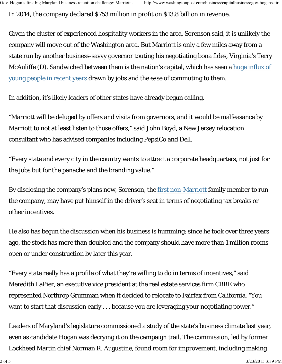In 2014, the company declared \$753 million in profit on \$13.8 billion in revenue.

Given the cluster of experienced hospitality workers in the area, Sorenson said, it is unlikely the company will move out of the Washington area. But Marriott is only a few miles away from a state run by another business-savvy governor touting his negotiating bona fides, Virginia's Terry McAuliffe (D). Sandwiched between them is the nation's capital, which has seen a huge influx of young people in recent years drawn by jobs and the ease of commuting to them.

In addition, it's likely leaders of other states have already begun calling.

"Marriott will be deluged by offers and visits from governors, and it would be malfeasance by Marriott to not at least listen to those offers," said John Boyd, a New Jersey relocation consultant who has advised companies including PepsiCo and Dell.

"Every state and every city in the country wants to attract a corporate headquarters, not just for the jobs but for the panache and the branding value."

By disclosing the company's plans now, Sorenson, the first non-Marriott family member to run the company, may have put himself in the driver's seat in terms of negotiating tax breaks or other incentives.

He also has begun the discussion when his business is humming; since he took over three years ago, the stock has more than doubled and the company should have more than 1 million rooms open or under construction by later this year.

"Every state really has a profile of what they're willing to do in terms of incentives," said Meredith LaPier, an executive vice president at the real estate services firm CBRE who represented Northrop Grumman when it decided to relocate to Fairfax from California. "You want to start that discussion early . . . because you are leveraging your negotiating power."

Leaders of Maryland's legislature commissioned a study of the state's business climate last year, even as candidate Hogan was decrying it on the campaign trail. The commission, led by former Lockheed Martin chief Norman R. Augustine, found room for improvement, including making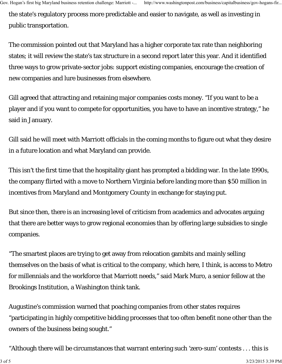the state's regulatory process more predictable and easier to navigate, as well as investing in public transportation.

The commission pointed out that Maryland has a higher corporate tax rate than neighboring states; it will review the state's tax structure in a second report later this year. And it identified three ways to grow private-sector jobs: support existing companies, encourage the creation of new companies and lure businesses from elsewhere.

Gill agreed that attracting and retaining major companies costs money. "If you want to be a player and if you want to compete for opportunities, you have to have an incentive strategy," he said in January.

Gill said he will meet with Marriott officials in the coming months to figure out what they desire in a future location and what Maryland can provide.

This isn't the first time that the hospitality giant has prompted a bidding war. In the late 1990s, the company flirted with a move to Northern Virginia before landing more than \$50 million in incentives from Maryland and Montgomery County in exchange for staying put.

But since then, there is an increasing level of criticism from academics and advocates arguing that there are better ways to grow regional economies than by offering large subsidies to single companies.

"The smartest places are trying to get away from relocation gambits and mainly selling themselves on the basis of what is critical to the company, which here, I think, is access to Metro for millennials and the workforce that Marriott needs," said Mark Muro, a senior fellow at the Brookings Institution, a Washington think tank.

Augustine's commission warned that poaching companies from other states requires "participating in highly competitive bidding processes that too often benefit none other than the owners of the business being sought."

"Although there will be circumstances that warrant entering such 'zero-sum' contests . . . this is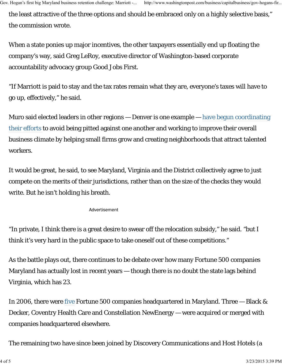the least attractive of the three options and should be embraced only on a highly selective basis," the commission wrote.

When a state ponies up major incentives, the other taxpayers essentially end up floating the company's way, said Greg LeRoy, executive director of Washington-based corporate accountability advocacy group Good Jobs First.

"If Marriott is paid to stay and the tax rates remain what they are, everyone's taxes will have to go up, effectively," he said.

Muro said elected leaders in other regions — Denver is one example — have begun coordinating their efforts to avoid being pitted against one another and working to improve their overall business climate by helping small firms grow and creating neighborhoods that attract talented workers.

It would be great, he said, to see Maryland, Virginia and the District collectively agree to just compete on the merits of their jurisdictions, rather than on the size of the checks they would write. But he isn't holding his breath.

## Advertisement

"In private, I think there is a great desire to swear off the relocation subsidy," he said. "but I think it's very hard in the public space to take oneself out of these competitions."

As the battle plays out, there continues to be debate over how many Fortune 500 companies Maryland has actually lost in recent years — though there is no doubt the state lags behind Virginia, which has 23.

In 2006, there were five Fortune 500 companies headquartered in Maryland. Three — Black & Decker, Coventry Health Care and Constellation NewEnergy — were acquired or merged with companies headquartered elsewhere.

The remaining two have since been joined by Discovery Communications and Host Hotels (a